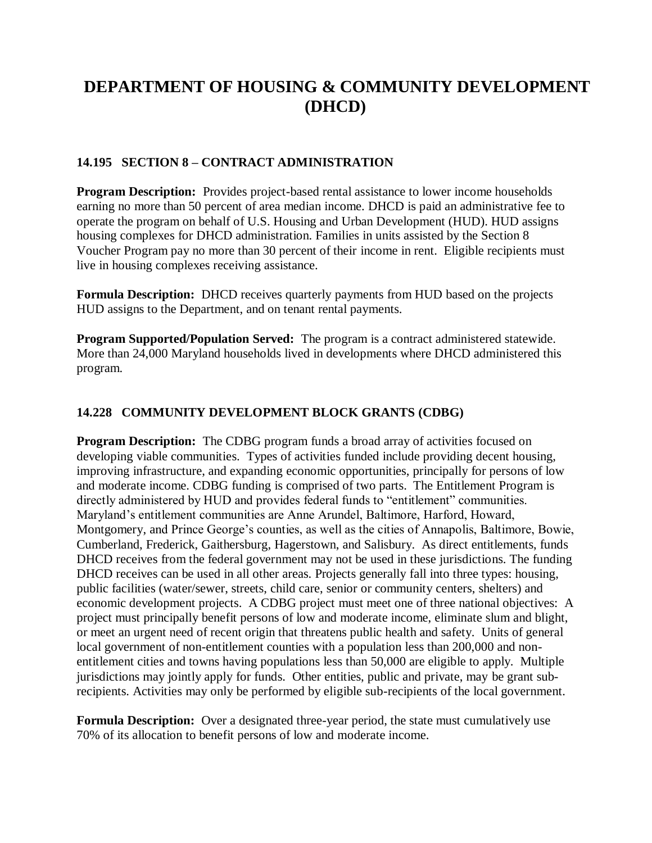# **DEPARTMENT OF HOUSING & COMMUNITY DEVELOPMENT (DHCD)**

#### **14.195 SECTION 8 – CONTRACT ADMINISTRATION**

**Program Description:** Provides project-based rental assistance to lower income households earning no more than 50 percent of area median income. DHCD is paid an administrative fee to operate the program on behalf of U.S. Housing and Urban Development (HUD). HUD assigns housing complexes for DHCD administration. Families in units assisted by the Section 8 Voucher Program pay no more than 30 percent of their income in rent. Eligible recipients must live in housing complexes receiving assistance.

**Formula Description:** DHCD receives quarterly payments from HUD based on the projects HUD assigns to the Department, and on tenant rental payments.

**Program Supported/Population Served:** The program is a contract administered statewide. More than 24,000 Maryland households lived in developments where DHCD administered this program.

#### **14.228 COMMUNITY DEVELOPMENT BLOCK GRANTS (CDBG)**

**Program Description:** The CDBG program funds a broad array of activities focused on developing viable communities. Types of activities funded include providing decent housing, improving infrastructure, and expanding economic opportunities, principally for persons of low and moderate income. CDBG funding is comprised of two parts. The Entitlement Program is directly administered by HUD and provides federal funds to "entitlement" communities. Maryland's entitlement communities are Anne Arundel, Baltimore, Harford, Howard, Montgomery, and Prince George's counties, as well as the cities of Annapolis, Baltimore, Bowie, Cumberland, Frederick, Gaithersburg, Hagerstown, and Salisbury. As direct entitlements, funds DHCD receives from the federal government may not be used in these jurisdictions. The funding DHCD receives can be used in all other areas. Projects generally fall into three types: housing, public facilities (water/sewer, streets, child care, senior or community centers, shelters) and economic development projects. A CDBG project must meet one of three national objectives: A project must principally benefit persons of low and moderate income, eliminate slum and blight, or meet an urgent need of recent origin that threatens public health and safety. Units of general local government of non-entitlement counties with a population less than 200,000 and nonentitlement cities and towns having populations less than 50,000 are eligible to apply. Multiple jurisdictions may jointly apply for funds. Other entities, public and private, may be grant subrecipients. Activities may only be performed by eligible sub-recipients of the local government.

**Formula Description:** Over a designated three-year period, the state must cumulatively use 70% of its allocation to benefit persons of low and moderate income.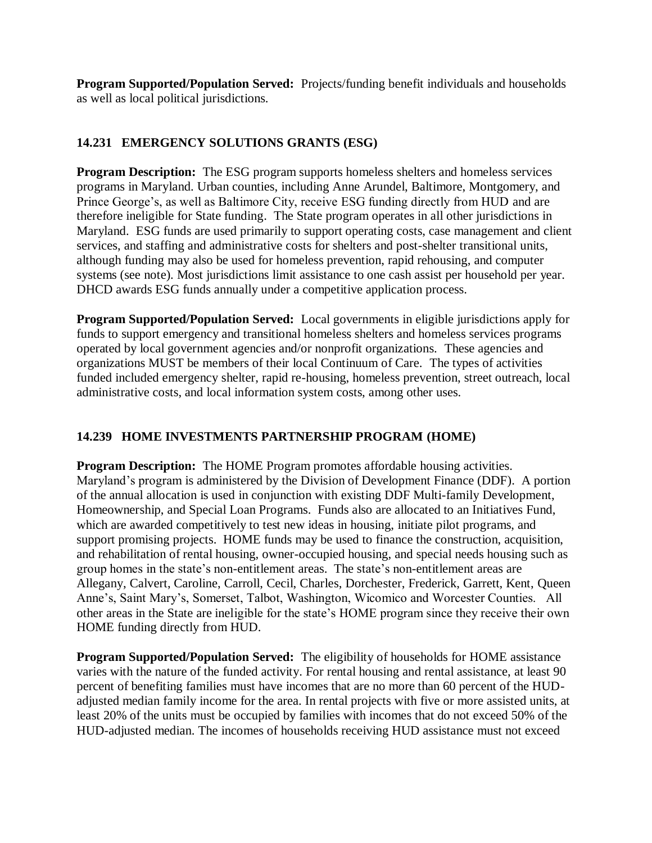**Program Supported/Population Served:** Projects/funding benefit individuals and households as well as local political jurisdictions.

# **14.231 EMERGENCY SOLUTIONS GRANTS (ESG)**

**Program Description:** The ESG program supports homeless shelters and homeless services programs in Maryland. Urban counties, including Anne Arundel, Baltimore, Montgomery, and Prince George's, as well as Baltimore City, receive ESG funding directly from HUD and are therefore ineligible for State funding. The State program operates in all other jurisdictions in Maryland. ESG funds are used primarily to support operating costs, case management and client services, and staffing and administrative costs for shelters and post-shelter transitional units, although funding may also be used for homeless prevention, rapid rehousing, and computer systems (see note). Most jurisdictions limit assistance to one cash assist per household per year. DHCD awards ESG funds annually under a competitive application process.

**Program Supported/Population Served:** Local governments in eligible jurisdictions apply for funds to support emergency and transitional homeless shelters and homeless services programs operated by local government agencies and/or nonprofit organizations. These agencies and organizations MUST be members of their local Continuum of Care. The types of activities funded included emergency shelter, rapid re-housing, homeless prevention, street outreach, local administrative costs, and local information system costs, among other uses.

#### **14.239 HOME INVESTMENTS PARTNERSHIP PROGRAM (HOME)**

**Program Description:** The HOME Program promotes affordable housing activities. Maryland's program is administered by the Division of Development Finance (DDF). A portion of the annual allocation is used in conjunction with existing DDF Multi-family Development, Homeownership, and Special Loan Programs. Funds also are allocated to an Initiatives Fund, which are awarded competitively to test new ideas in housing, initiate pilot programs, and support promising projects. HOME funds may be used to finance the construction, acquisition, and rehabilitation of rental housing, owner-occupied housing, and special needs housing such as group homes in the state's non-entitlement areas. The state's non-entitlement areas are Allegany, Calvert, Caroline, Carroll, Cecil, Charles, Dorchester, Frederick, Garrett, Kent, Queen Anne's, Saint Mary's, Somerset, Talbot, Washington, Wicomico and Worcester Counties. All other areas in the State are ineligible for the state's HOME program since they receive their own HOME funding directly from HUD.

**Program Supported/Population Served:** The eligibility of households for HOME assistance varies with the nature of the funded activity. For rental housing and rental assistance, at least 90 percent of benefiting families must have incomes that are no more than 60 percent of the HUDadjusted median family income for the area. In rental projects with five or more assisted units, at least 20% of the units must be occupied by families with incomes that do not exceed 50% of the HUD-adjusted median. The incomes of households receiving HUD assistance must not exceed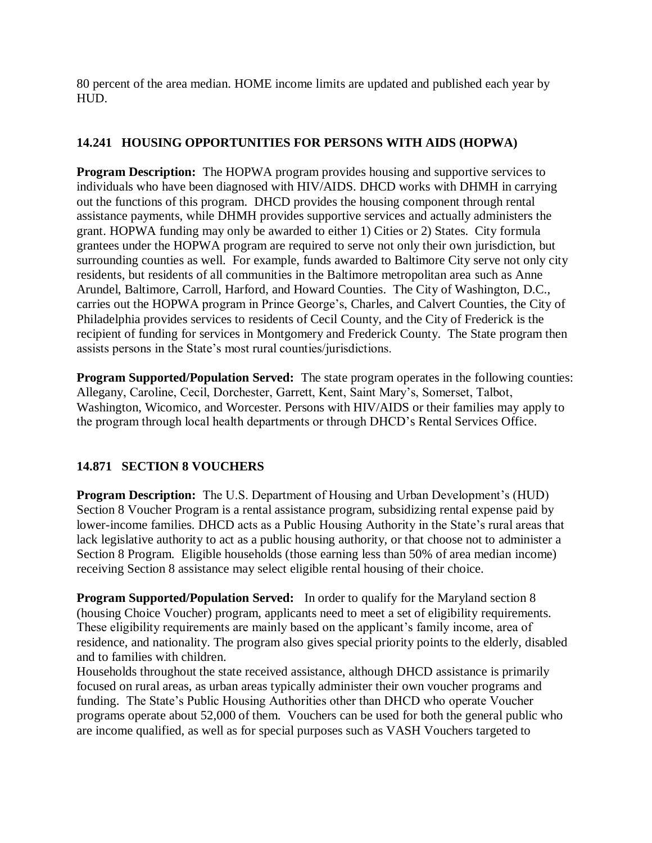80 percent of the area median. HOME income limits are updated and published each year by HUD.

## **14.241 HOUSING OPPORTUNITIES FOR PERSONS WITH AIDS (HOPWA)**

**Program Description:** The HOPWA program provides housing and supportive services to individuals who have been diagnosed with HIV/AIDS. DHCD works with DHMH in carrying out the functions of this program. DHCD provides the housing component through rental assistance payments, while DHMH provides supportive services and actually administers the grant. HOPWA funding may only be awarded to either 1) Cities or 2) States. City formula grantees under the HOPWA program are required to serve not only their own jurisdiction, but surrounding counties as well. For example, funds awarded to Baltimore City serve not only city residents, but residents of all communities in the Baltimore metropolitan area such as Anne Arundel, Baltimore, Carroll, Harford, and Howard Counties. The City of Washington, D.C., carries out the HOPWA program in Prince George's, Charles, and Calvert Counties, the City of Philadelphia provides services to residents of Cecil County, and the City of Frederick is the recipient of funding for services in Montgomery and Frederick County. The State program then assists persons in the State's most rural counties/jurisdictions.

**Program Supported/Population Served:** The state program operates in the following counties: Allegany, Caroline, Cecil, Dorchester, Garrett, Kent, Saint Mary's, Somerset, Talbot, Washington, Wicomico, and Worcester. Persons with HIV/AIDS or their families may apply to the program through local health departments or through DHCD's Rental Services Office.

# **14.871 SECTION 8 VOUCHERS**

**Program Description:** The U.S. Department of Housing and Urban Development's (HUD) Section 8 Voucher Program is a rental assistance program, subsidizing rental expense paid by lower-income families. DHCD acts as a Public Housing Authority in the State's rural areas that lack legislative authority to act as a public housing authority, or that choose not to administer a Section 8 Program. Eligible households (those earning less than 50% of area median income) receiving Section 8 assistance may select eligible rental housing of their choice.

**Program Supported/Population Served:** In order to qualify for the Maryland section 8 (housing Choice Voucher) program, applicants need to meet a set of eligibility requirements. These eligibility requirements are mainly based on the applicant's family income, area of residence, and nationality. The program also gives special priority points to the elderly, disabled and to families with children.

Households throughout the state received assistance, although DHCD assistance is primarily focused on rural areas, as urban areas typically administer their own voucher programs and funding. The State's Public Housing Authorities other than DHCD who operate Voucher programs operate about 52,000 of them. Vouchers can be used for both the general public who are income qualified, as well as for special purposes such as VASH Vouchers targeted to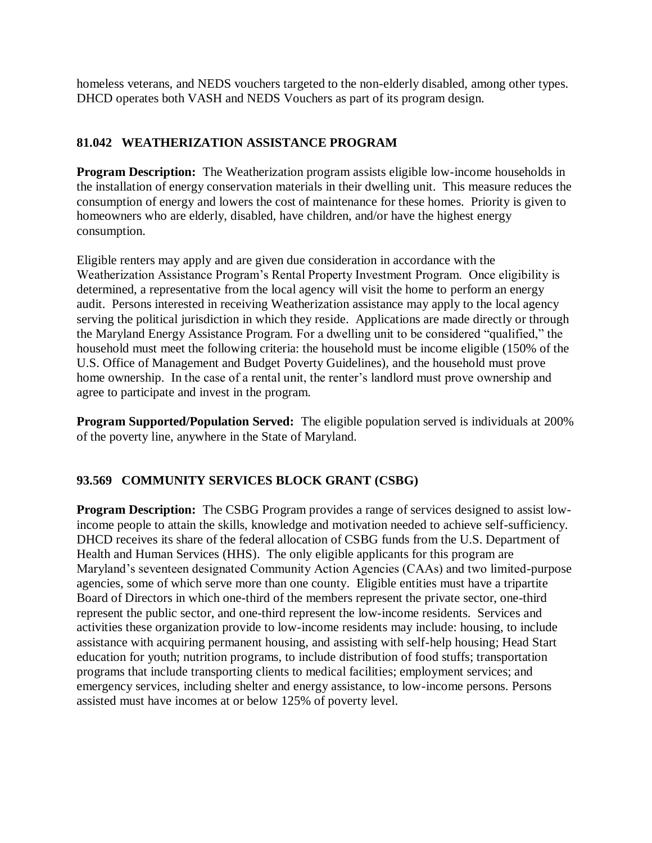homeless veterans, and NEDS vouchers targeted to the non-elderly disabled, among other types. DHCD operates both VASH and NEDS Vouchers as part of its program design.

## **81.042 WEATHERIZATION ASSISTANCE PROGRAM**

**Program Description:** The Weatherization program assists eligible low-income households in the installation of energy conservation materials in their dwelling unit. This measure reduces the consumption of energy and lowers the cost of maintenance for these homes. Priority is given to homeowners who are elderly, disabled, have children, and/or have the highest energy consumption.

Eligible renters may apply and are given due consideration in accordance with the Weatherization Assistance Program's Rental Property Investment Program. Once eligibility is determined, a representative from the local agency will visit the home to perform an energy audit. Persons interested in receiving Weatherization assistance may apply to the local agency serving the political jurisdiction in which they reside. Applications are made directly or through the Maryland Energy Assistance Program. For a dwelling unit to be considered "qualified," the household must meet the following criteria: the household must be income eligible (150% of the U.S. Office of Management and Budget Poverty Guidelines), and the household must prove home ownership. In the case of a rental unit, the renter's landlord must prove ownership and agree to participate and invest in the program.

**Program Supported/Population Served:** The eligible population served is individuals at 200% of the poverty line, anywhere in the State of Maryland.

#### **93.569 COMMUNITY SERVICES BLOCK GRANT (CSBG)**

**Program Description:** The CSBG Program provides a range of services designed to assist lowincome people to attain the skills, knowledge and motivation needed to achieve self-sufficiency. DHCD receives its share of the federal allocation of CSBG funds from the U.S. Department of Health and Human Services (HHS). The only eligible applicants for this program are Maryland's seventeen designated Community Action Agencies (CAAs) and two limited-purpose agencies, some of which serve more than one county. Eligible entities must have a tripartite Board of Directors in which one-third of the members represent the private sector, one-third represent the public sector, and one-third represent the low-income residents. Services and activities these organization provide to low-income residents may include: housing, to include assistance with acquiring permanent housing, and assisting with self-help housing; Head Start education for youth; nutrition programs, to include distribution of food stuffs; transportation programs that include transporting clients to medical facilities; employment services; and emergency services, including shelter and energy assistance, to low-income persons. Persons assisted must have incomes at or below 125% of poverty level.